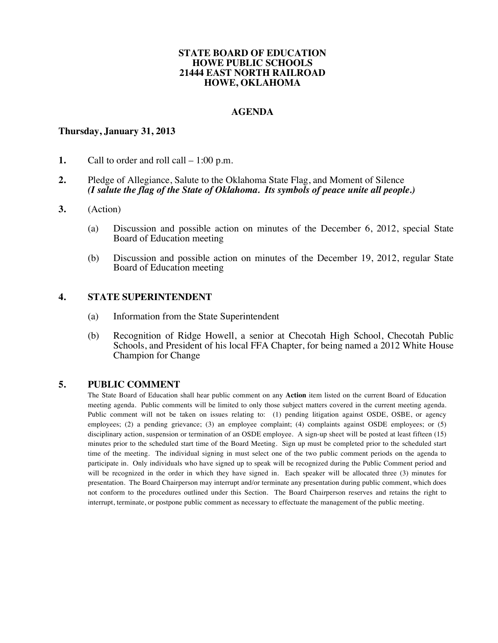#### **STATE BOARD OF EDUCATION HOWE PUBLIC SCHOOLS 21444 EAST NORTH RAILROAD HOWE, OKLAHOMA**

### **AGENDA**

### **Thursday, January 31, 2013**

- **1.** Call to order and roll call 1:00 p.m.
- **2.** Pledge of Allegiance, Salute to the Oklahoma State Flag, and Moment of Silence *(I salute the flag of the State of Oklahoma. Its symbols of peace unite all people.)*
- **3.** (Action)
	- (a) Discussion and possible action on minutes of the December 6, 2012, special State Board of Education meeting
	- (b) Discussion and possible action on minutes of the December 19, 2012, regular State Board of Education meeting

#### **4. STATE SUPERINTENDENT**

- (a) Information from the State Superintendent
- (b) Recognition of Ridge Howell, a senior at Checotah High School, Checotah Public Schools, and President of his local FFA Chapter, for being named a 2012 White House Champion for Change

### **5. PUBLIC COMMENT**

The State Board of Education shall hear public comment on any **Action** item listed on the current Board of Education meeting agenda. Public comments will be limited to only those subject matters covered in the current meeting agenda. Public comment will not be taken on issues relating to: (1) pending litigation against OSDE, OSBE, or agency employees; (2) a pending grievance; (3) an employee complaint; (4) complaints against OSDE employees; or (5) disciplinary action, suspension or termination of an OSDE employee. A sign-up sheet will be posted at least fifteen (15) minutes prior to the scheduled start time of the Board Meeting. Sign up must be completed prior to the scheduled start time of the meeting. The individual signing in must select one of the two public comment periods on the agenda to participate in. Only individuals who have signed up to speak will be recognized during the Public Comment period and will be recognized in the order in which they have signed in. Each speaker will be allocated three (3) minutes for presentation. The Board Chairperson may interrupt and/or terminate any presentation during public comment, which does not conform to the procedures outlined under this Section. The Board Chairperson reserves and retains the right to interrupt, terminate, or postpone public comment as necessary to effectuate the management of the public meeting.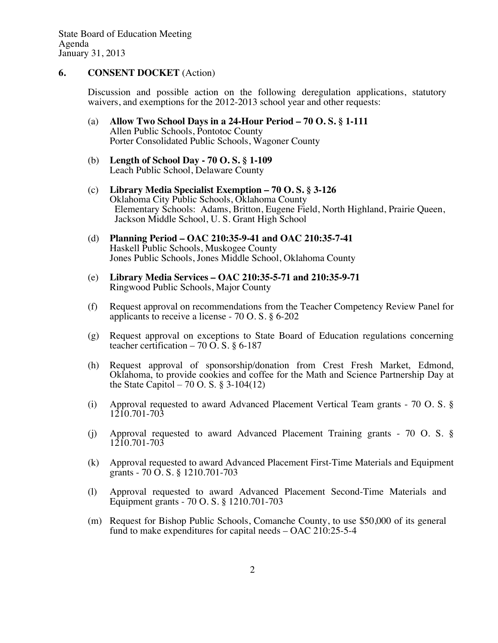### **6. CONSENT DOCKET** (Action)

Discussion and possible action on the following deregulation applications, statutory waivers, and exemptions for the 2012-2013 school year and other requests:

- (a) **Allow Two School Days in a 24-Hour Period – 70 O. S. § 1-111** Allen Public Schools, Pontotoc County Porter Consolidated Public Schools, Wagoner County
- (b) **Length of School Day - 70 O. S. § 1-109** Leach Public School, Delaware County
- (c) **Library Media Specialist Exemption – 70 O. S. § 3-126** Oklahoma City Public Schools, Oklahoma County Elementary Schools: Adams, Britton, Eugene Field, North Highland, Prairie Queen, Jackson Middle School, U. S. Grant High School
- (d) **Planning Period – OAC 210:35-9-41 and OAC 210:35-7-41** Haskell Public Schools, Muskogee County Jones Public Schools, Jones Middle School, Oklahoma County
- (e) **Library Media Services – OAC 210:35-5-71 and 210:35-9-71** Ringwood Public Schools, Major County
- (f) Request approval on recommendations from the Teacher Competency Review Panel for applicants to receive a license - 70 O. S. § 6-202
- (g) Request approval on exceptions to State Board of Education regulations concerning teacher certification – 70 O. S. § 6-187
- (h) Request approval of sponsorship/donation from Crest Fresh Market, Edmond, Oklahoma, to provide cookies and coffee for the Math and Science Partnership Day at the State Capitol – 70 O. S. § 3-104(12)
- (i) Approval requested to award Advanced Placement Vertical Team grants 70 O. S. § 1210.701-703
- (j) Approval requested to award Advanced Placement Training grants 70 O. S. § 1210.701-703
- (k) Approval requested to award Advanced Placement First-Time Materials and Equipment grants - 70 O. S. § 1210.701-703
- (l) Approval requested to award Advanced Placement Second-Time Materials and Equipment grants - 70 O. S. § 1210.701-703
- (m) Request for Bishop Public Schools, Comanche County, to use \$50,000 of its general fund to make expenditures for capital needs – OAC 210:25-5-4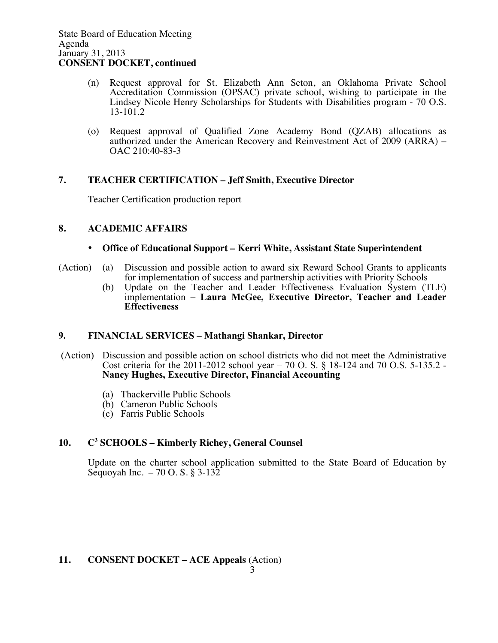- (n) Request approval for St. Elizabeth Ann Seton, an Oklahoma Private School Accreditation Commission (OPSAC) private school, wishing to participate in the Lindsey Nicole Henry Scholarships for Students with Disabilities program - 70 O.S. 13-101.2
- (o) Request approval of Qualified Zone Academy Bond (QZAB) allocations as authorized under the American Recovery and Reinvestment Act of 2009 (ARRA) – OAC 210:40-83-3

# **7. TEACHER CERTIFICATION – Jeff Smith, Executive Director**

Teacher Certification production report

# **8. ACADEMIC AFFAIRS**

### • **Office of Educational Support – Kerri White, Assistant State Superintendent**

- (Action) (a) Discussion and possible action to award six Reward School Grants to applicants for implementation of success and partnership activities with Priority Schools
	- (b) Update on the Teacher and Leader Effectiveness Evaluation System (TLE) implementation – **Laura McGee, Executive Director, Teacher and Leader Effectiveness**

# **9. FINANCIAL SERVICES – Mathangi Shankar, Director**

- (Action) Discussion and possible action on school districts who did not meet the Administrative Cost criteria for the 2011-2012 school year – 70 O. S. § 18-124 and 70 O.S. 5-135.2 - **Nancy Hughes, Executive Director, Financial Accounting**
	- (a) Thackerville Public Schools
	- (b) Cameron Public Schools
	- (c) Farris Public Schools

# **10. C3 SCHOOLS – Kimberly Richey, General Counsel**

Update on the charter school application submitted to the State Board of Education by Sequoyah Inc. – 70 O. S. § 3-132

# **11. CONSENT DOCKET – ACE Appeals** (Action)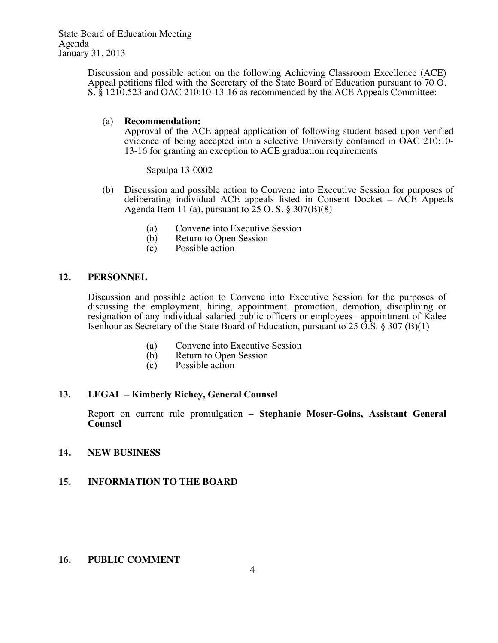State Board of Education Meeting Agenda January 31, 2013

> Discussion and possible action on the following Achieving Classroom Excellence (ACE) Appeal petitions filed with the Secretary of the State Board of Education pursuant to 70 O. S. § 1210.523 and OAC 210:10-13-16 as recommended by the ACE Appeals Committee:

#### (a) **Recommendation:**

Approval of the ACE appeal application of following student based upon verified evidence of being accepted into a selective University contained in OAC 210:10- 13-16 for granting an exception to ACE graduation requirements

Sapulpa 13-0002

- (b) Discussion and possible action to Convene into Executive Session for purposes of deliberating individual ACE appeals listed in Consent Docket – ACE Appeals Agenda Item 11 (a), pursuant to  $25$  O. S.  $\S 307(B)(8)$ 
	- (a) Convene into Executive Session
	- (b) Return to Open Session
	- (c) Possible action

### **12. PERSONNEL**

Discussion and possible action to Convene into Executive Session for the purposes of discussing the employment, hiring, appointment, promotion, demotion, disciplining or resignation of any individual salaried public officers or employees –appointment of Kalee Isenhour as Secretary of the State Board of Education, pursuant to  $25 \overline{O.S.}$  §  $307 \overline{B}(1)$ 

- (a) Convene into Executive Session
- (b) Return to Open Session
- (c) Possible action

# **13. LEGAL – Kimberly Richey, General Counsel**

Report on current rule promulgation – **Stephanie Moser-Goins, Assistant General Counsel**

### **14. NEW BUSINESS**

# **15. INFORMATION TO THE BOARD**

### **16. PUBLIC COMMENT**